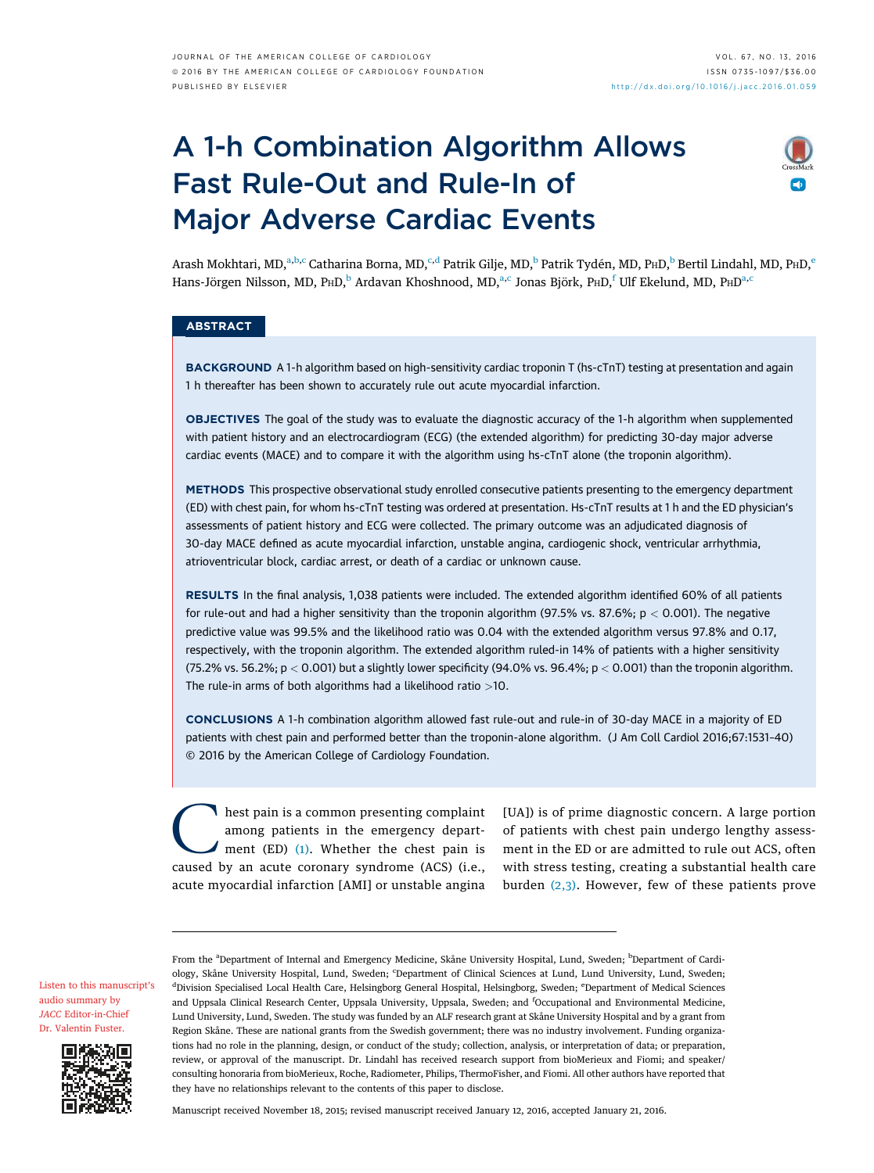# A 1-h Combination Algorithm Allows Fast Rule-Out and Rule-In of Major Adverse Cardiac Events



Arash Mokhtari, MD,<sup>a,b,c</sup> Catharina Borna, MD,<sup>c,d</sup> Patrik Gilje, MD,<sup>b</sup> Patrik Tydén, MD, P ${\sf hD,^b}$  Bertil Lindahl, MD, P ${\sf hD,^e}$ Hans-Jörgen Nilsson, MD, P ${\rm HD},^{\rm b}$  Ardavan Khoshnood, MD, $^{\rm a,c}$  Jonas Björk, P ${\rm HD},^{\rm f}$ Ulf Ekelund, MD, P ${\rm HD}^{\rm a,c}$ 

# **ABSTRACT**

BACKGROUND A 1-h algorithm based on high-sensitivity cardiac troponin T (hs-cTnT) testing at presentation and again 1 h thereafter has been shown to accurately rule out acute myocardial infarction.

OBJECTIVES The goal of the study was to evaluate the diagnostic accuracy of the 1-h algorithm when supplemented with patient history and an electrocardiogram (ECG) (the extended algorithm) for predicting 30-day major adverse cardiac events (MACE) and to compare it with the algorithm using hs-cTnT alone (the troponin algorithm).

METHODS This prospective observational study enrolled consecutive patients presenting to the emergency department (ED) with chest pain, for whom hs-cTnT testing was ordered at presentation. Hs-cTnT results at 1 h and the ED physician's assessments of patient history and ECG were collected. The primary outcome was an adjudicated diagnosis of 30-day MACE defined as acute myocardial infarction, unstable angina, cardiogenic shock, ventricular arrhythmia, atrioventricular block, cardiac arrest, or death of a cardiac or unknown cause.

RESULTS In the final analysis, 1,038 patients were included. The extended algorithm identified 60% of all patients for rule-out and had a higher sensitivity than the troponin algorithm (97.5% vs. 87.6%;  $p < 0.001$ ). The negative predictive value was 99.5% and the likelihood ratio was 0.04 with the extended algorithm versus 97.8% and 0.17, respectively, with the troponin algorithm. The extended algorithm ruled-in 14% of patients with a higher sensitivity (75.2% vs. 56.2%;  $p < 0.001$ ) but a slightly lower specificity (94.0% vs. 96.4%;  $p < 0.001$ ) than the troponin algorithm. The rule-in arms of both algorithms had a likelihood ratio  $>10$ .

CONCLUSIONS A 1-h combination algorithm allowed fast rule-out and rule-in of 30-day MACE in a majority of ED patients with chest pain and performed better than the troponin-alone algorithm. (J Am Coll Cardiol 2016;67:1531–40) © 2016 by the American College of Cardiology Foundation.

C hest pain is a common presenting complaint among patients in the emergency department (ED)  $(1)$ . Whether the chest pain is caused by an acute coronary syndrome (ACS) (i.e., acute myocardial infarction [AMI] or unstable angina

[UA]) is of prime diagnostic concern. A large portion of patients with chest pain undergo lengthy assessment in the ED or are admitted to rule out ACS, often with stress testing, creating a substantial health care burden [\(2,3\)](#page-8-0). However, few of these patients prove

[Listen to this manuscript](https://s3.amazonaws.com/ADFJACC/JACC6713/JACC6713_fustersummary_03)'s [audio summary by](https://s3.amazonaws.com/ADFJACC/JACC6713/JACC6713_fustersummary_03) JACC [Editor-in-Chief](https://s3.amazonaws.com/ADFJACC/JACC6713/JACC6713_fustersummary_03) [Dr. Valentin Fuster](https://s3.amazonaws.com/ADFJACC/JACC6713/JACC6713_fustersummary_03).



From the <sup>a</sup>Department of Internal and Emergency Medicine, Skåne University Hospital, Lund, Sweden; <sup>b</sup>Department of Cardiology, Skåne University Hospital, Lund, Sweden; <sup>c</sup>Department of Clinical Sciences at Lund, Lund University, Lund, Sweden; <sup>d</sup>Division Specialised Local Health Care, Helsingborg General Hospital, Helsingborg, Sweden; <sup>e</sup>Department of Medical Sciences and Uppsala Clinical Research Center, Uppsala University, Uppsala, Sweden; and <sup>f</sup>Occupational and Environmental Medicine, Lund University, Lund, Sweden. The study was funded by an ALF research grant at Skåne University Hospital and by a grant from Region Skåne. These are national grants from the Swedish government; there was no industry involvement. Funding organizations had no role in the planning, design, or conduct of the study; collection, analysis, or interpretation of data; or preparation, review, or approval of the manuscript. Dr. Lindahl has received research support from bioMerieux and Fiomi; and speaker/ consulting honoraria from bioMerieux, Roche, Radiometer, Philips, ThermoFisher, and Fiomi. All other authors have reported that they have no relationships relevant to the contents of this paper to disclose.

Manuscript received November 18, 2015; revised manuscript received January 12, 2016, accepted January 21, 2016.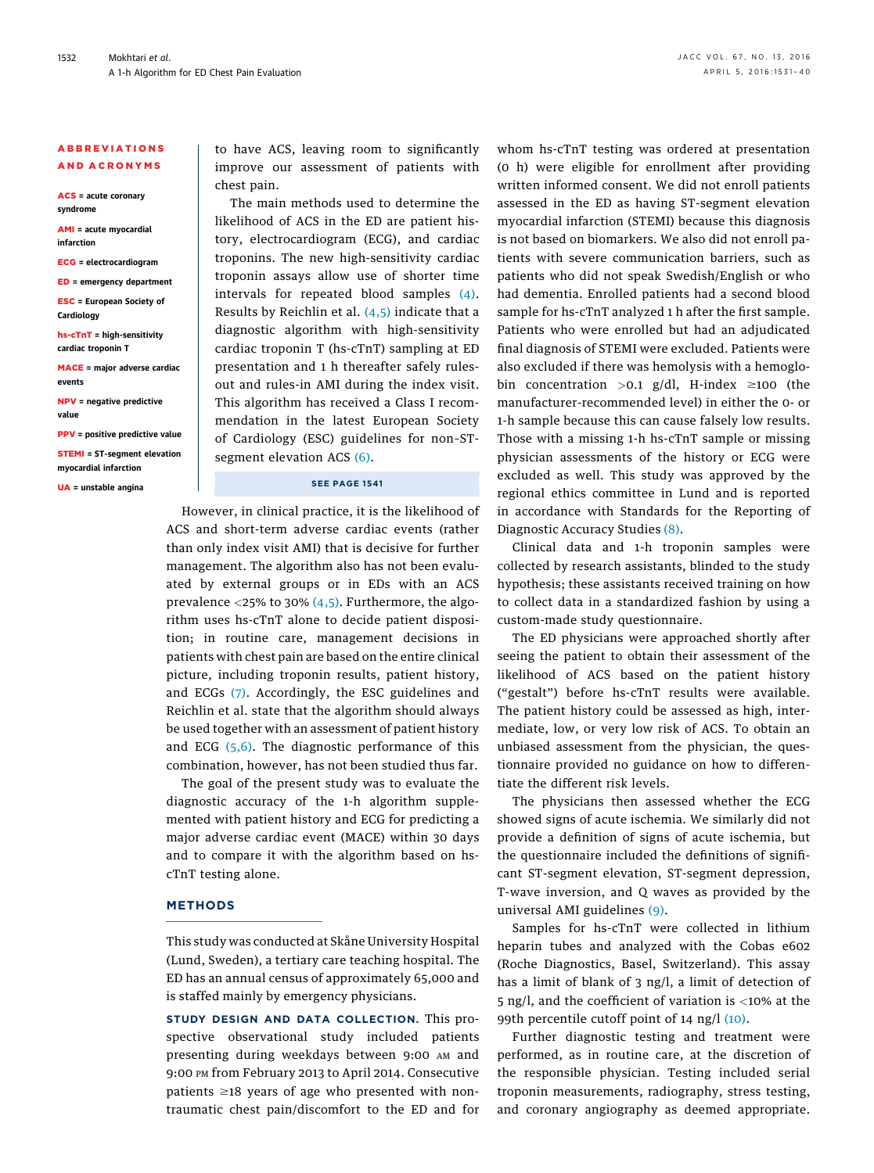## ABBREVIATIONS AND ACRONYMS

ACS = acute coronary syndrome

AMI = acute myocardial infarction

ECG = electrocardiogram

ED = emergency department

ESC = European Society of **Cardiology** 

hs-cTnT = high-sensitivity cardiac troponin T

MACE = major adverse cardiac events

NPV = negative predictive value

PPV = positive predictive value STEMI = ST-segment elevation

myocardial infarction

UA = unstable angina

to have ACS, leaving room to significantly improve our assessment of patients with chest pain.

The main methods used to determine the likelihood of ACS in the ED are patient history, electrocardiogram (ECG), and cardiac troponins. The new high-sensitivity cardiac troponin assays allow use of shorter time intervals for repeated blood samples [\(4\).](#page-8-0) Results by Reichlin et al.  $(4,5)$  indicate that a diagnostic algorithm with high-sensitivity cardiac troponin T (hs-cTnT) sampling at ED presentation and 1 h thereafter safely rulesout and rules-in AMI during the index visit. This algorithm has received a Class I recommendation in the latest European Society of Cardiology (ESC) guidelines for non–ST-segment elevation ACS [\(6\)](#page-8-0).

### SEE PAGE 1541

However, in clinical practice, it is the likelihood of ACS and short-term adverse cardiac events (rather than only index visit AMI) that is decisive for further management. The algorithm also has not been evaluated by external groups or in EDs with an ACS prevalence  $\langle 25\%$  to 30%  $(4,5)$ . Furthermore, the algorithm uses hs-cTnT alone to decide patient disposition; in routine care, management decisions in patients with chest pain are based on the entire clinical picture, including troponin results, patient history, and ECGs [\(7\)](#page-8-0). Accordingly, the ESC guidelines and Reichlin et al. state that the algorithm should always be used together with an assessment of patient history and ECG  $(5,6)$ . The diagnostic performance of this combination, however, has not been studied thus far.

The goal of the present study was to evaluate the diagnostic accuracy of the 1-h algorithm supplemented with patient history and ECG for predicting a major adverse cardiac event (MACE) within 30 days and to compare it with the algorithm based on hscTnT testing alone.

# METHODS

This study was conducted at Skåne University Hospital (Lund, Sweden), a tertiary care teaching hospital. The ED has an annual census of approximately 65,000 and is staffed mainly by emergency physicians.

STUDY DESIGN AND DATA COLLECTION. This prospective observational study included patients presenting during weekdays between 9:00 AM and 9:00 PM from February 2013 to April 2014. Consecutive patients  $\geq$ 18 years of age who presented with nontraumatic chest pain/discomfort to the ED and for whom hs-cTnT testing was ordered at presentation (0 h) were eligible for enrollment after providing written informed consent. We did not enroll patients assessed in the ED as having ST-segment elevation myocardial infarction (STEMI) because this diagnosis is not based on biomarkers. We also did not enroll patients with severe communication barriers, such as patients who did not speak Swedish/English or who had dementia. Enrolled patients had a second blood sample for hs-cTnT analyzed 1 h after the first sample. Patients who were enrolled but had an adjudicated final diagnosis of STEMI were excluded. Patients were also excluded if there was hemolysis with a hemoglobin concentration >0.1 g/dl, H-index  $\geq$ 100 (the manufacturer-recommended level) in either the 0- or 1-h sample because this can cause falsely low results. Those with a missing 1-h hs-cTnT sample or missing physician assessments of the history or ECG were excluded as well. This study was approved by the regional ethics committee in Lund and is reported in accordance with Standards for the Reporting of Diagnostic Accuracy Studies [\(8\)](#page-8-0).

Clinical data and 1-h troponin samples were collected by research assistants, blinded to the study hypothesis; these assistants received training on how to collect data in a standardized fashion by using a custom-made study questionnaire.

The ED physicians were approached shortly after seeing the patient to obtain their assessment of the likelihood of ACS based on the patient history ("gestalt") before hs-cTnT results were available. The patient history could be assessed as high, intermediate, low, or very low risk of ACS. To obtain an unbiased assessment from the physician, the questionnaire provided no guidance on how to differentiate the different risk levels.

The physicians then assessed whether the ECG showed signs of acute ischemia. We similarly did not provide a definition of signs of acute ischemia, but the questionnaire included the definitions of significant ST-segment elevation, ST-segment depression, T-wave inversion, and Q waves as provided by the universal AMI guidelines [\(9\)](#page-8-0).

Samples for hs-cTnT were collected in lithium heparin tubes and analyzed with the Cobas e602 (Roche Diagnostics, Basel, Switzerland). This assay has a limit of blank of 3 ng/l, a limit of detection of 5 ng/l, and the coefficient of variation is <10% at the 99th percentile cutoff point of 14 ng/l [\(10\)](#page-8-0).

Further diagnostic testing and treatment were performed, as in routine care, at the discretion of the responsible physician. Testing included serial troponin measurements, radiography, stress testing, and coronary angiography as deemed appropriate.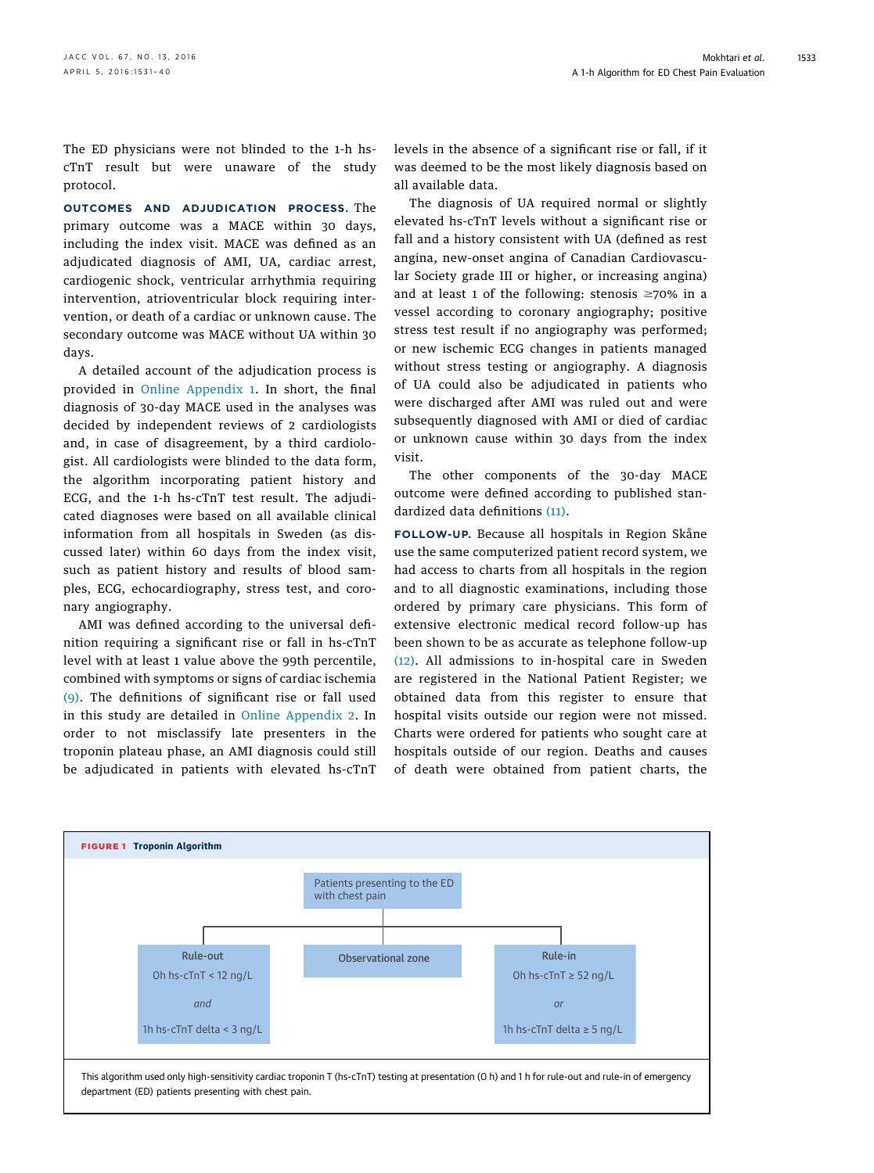<span id="page-2-0"></span>The ED physicians were not blinded to the 1-h hscTnT result but were unaware of the study protocol.

OUTCOMES AND ADJUDICATION PROCESS. The primary outcome was a MACE within 30 days, including the index visit. MACE was defined as an adjudicated diagnosis of AMI, UA, cardiac arrest, cardiogenic shock, ventricular arrhythmia requiring intervention, atrioventricular block requiring intervention, or death of a cardiac or unknown cause. The secondary outcome was MACE without UA within 30 days.

A detailed account of the adjudication process is provided in [Online Appendix 1](http://dx.doi.org/10.1016/j.jacc.2016.01.059). In short, the final diagnosis of 30-day MACE used in the analyses was decided by independent reviews of 2 cardiologists and, in case of disagreement, by a third cardiologist. All cardiologists were blinded to the data form, the algorithm incorporating patient history and ECG, and the 1-h hs-cTnT test result. The adjudicated diagnoses were based on all available clinical information from all hospitals in Sweden (as discussed later) within 60 days from the index visit, such as patient history and results of blood samples, ECG, echocardiography, stress test, and coronary angiography.

AMI was defined according to the universal definition requiring a significant rise or fall in hs-cTnT level with at least 1 value above the 99th percentile, combined with symptoms or signs of cardiac ischemia [\(9\)](#page-8-0). The definitions of significant rise or fall used in this study are detailed in [Online Appendix 2](http://dx.doi.org/10.1016/j.jacc.2016.01.059). In order to not misclassify late presenters in the troponin plateau phase, an AMI diagnosis could still be adjudicated in patients with elevated hs-cTnT levels in the absence of a significant rise or fall, if it was deemed to be the most likely diagnosis based on all available data.

The diagnosis of UA required normal or slightly elevated hs-cTnT levels without a significant rise or fall and a history consistent with UA (defined as rest angina, new-onset angina of Canadian Cardiovascular Society grade III or higher, or increasing angina) and at least 1 of the following: stenosis  $\geq 70\%$  in a vessel according to coronary angiography; positive stress test result if no angiography was performed; or new ischemic ECG changes in patients managed without stress testing or angiography. A diagnosis of UA could also be adjudicated in patients who were discharged after AMI was ruled out and were subsequently diagnosed with AMI or died of cardiac or unknown cause within 30 days from the index visit.

The other components of the 30-day MACE outcome were defined according to published standardized data definitions [\(11\)](#page-8-0).

FOLLOW-UP. Because all hospitals in Region Skåne use the same computerized patient record system, we had access to charts from all hospitals in the region and to all diagnostic examinations, including those ordered by primary care physicians. This form of extensive electronic medical record follow-up has been shown to be as accurate as telephone follow-up [\(12\).](#page-8-0) All admissions to in-hospital care in Sweden are registered in the National Patient Register; we obtained data from this register to ensure that hospital visits outside our region were not missed. Charts were ordered for patients who sought care at hospitals outside of our region. Deaths and causes of death were obtained from patient charts, the

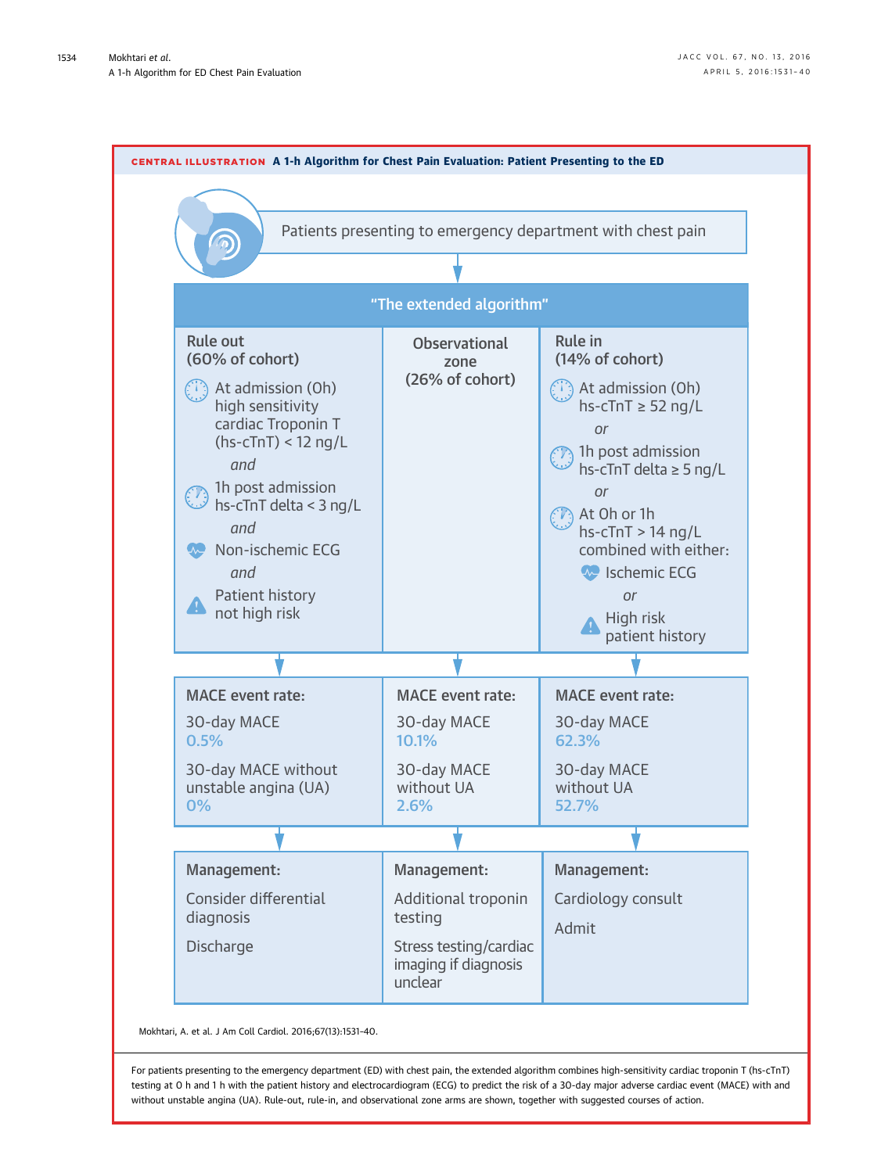<span id="page-3-0"></span>

Mokhtari, A. et al. J Am Coll Cardiol. 2016;67(13):1531–40.

For patients presenting to the emergency department (ED) with chest pain, the extended algorithm combines high-sensitivity cardiac troponin T (hs-cTnT) testing at 0 h and 1 h with the patient history and electrocardiogram (ECG) to predict the risk of a 30-day major adverse cardiac event (MACE) with and without unstable angina (UA). Rule-out, rule-in, and observational zone arms are shown, together with suggested courses of action.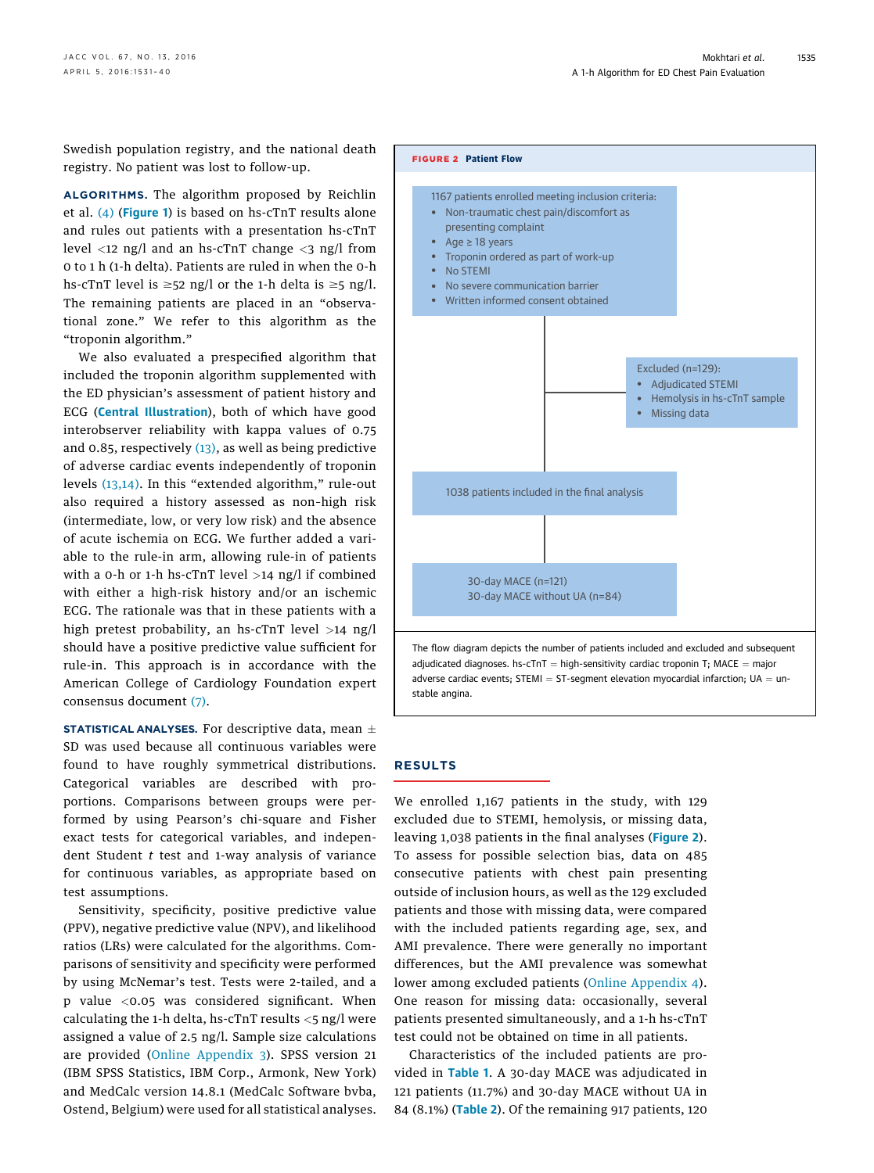Swedish population registry, and the national death registry. No patient was lost to follow-up.

ALGORITHMS. The algorithm proposed by Reichlin et al. [\(4\)](#page-8-0) ([Figure 1](#page-2-0)) is based on hs-cTnT results alone and rules out patients with a presentation hs-cTnT level  $\langle 12 \rangle$  ng/l and an hs-cTnT change  $\langle 3 \rangle$  ng/l from 0 to 1 h (1-h delta). Patients are ruled in when the 0-h hs-cTnT level is  $\geq$ 52 ng/l or the 1-h delta is  $\geq$ 5 ng/l. The remaining patients are placed in an "observational zone." We refer to this algorithm as the "troponin algorithm."

We also evaluated a prespecified algorithm that included the troponin algorithm supplemented with the ED physician's assessment of patient history and ECG ([Central Illustration](#page-3-0)), both of which have good interobserver reliability with kappa values of 0.75 and 0.85, respectively [\(13\)](#page-8-0), as well as being predictive of adverse cardiac events independently of troponin levels [\(13,14\).](#page-8-0) In this "extended algorithm," rule-out also required a history assessed as non–high risk (intermediate, low, or very low risk) and the absence of acute ischemia on ECG. We further added a variable to the rule-in arm, allowing rule-in of patients with a 0-h or 1-h hs-c $TnT$  level  $>14$  ng/l if combined with either a high-risk history and/or an ischemic ECG. The rationale was that in these patients with a high pretest probability, an hs-cTnT level >14 ng/l should have a positive predictive value sufficient for rule-in. This approach is in accordance with the American College of Cardiology Foundation expert consensus document [\(7\).](#page-8-0)

STATISTICAL ANALYSES. For descriptive data, mean  $\pm$ SD was used because all continuous variables were found to have roughly symmetrical distributions. Categorical variables are described with proportions. Comparisons between groups were performed by using Pearson's chi-square and Fisher exact tests for categorical variables, and independent Student  $t$  test and 1-way analysis of variance for continuous variables, as appropriate based on test assumptions.

Sensitivity, specificity, positive predictive value (PPV), negative predictive value (NPV), and likelihood ratios (LRs) were calculated for the algorithms. Comparisons of sensitivity and specificity were performed by using McNemar's test. Tests were 2-tailed, and a p value <0.05 was considered significant. When calculating the 1-h delta, hs-cTnT results <5 ng/l were assigned a value of 2.5 ng/l. Sample size calculations are provided ([Online Appendix 3\)](http://dx.doi.org/10.1016/j.jacc.2016.01.059). SPSS version 21 (IBM SPSS Statistics, IBM Corp., Armonk, New York) and MedCalc version 14.8.1 (MedCalc Software bvba, Ostend, Belgium) were used for all statistical analyses.



## RESULTS

We enrolled 1,167 patients in the study, with 129 excluded due to STEMI, hemolysis, or missing data, leaving 1,038 patients in the final analyses (Figure 2). To assess for possible selection bias, data on 485 consecutive patients with chest pain presenting outside of inclusion hours, as well as the 129 excluded patients and those with missing data, were compared with the included patients regarding age, sex, and AMI prevalence. There were generally no important differences, but the AMI prevalence was somewhat lower among excluded patients ([Online Appendix 4](http://dx.doi.org/10.1016/j.jacc.2016.01.059)). One reason for missing data: occasionally, several patients presented simultaneously, and a 1-h hs-cTnT test could not be obtained on time in all patients.

Characteristics of the included patients are provided in [Table 1](#page-5-0). A 30-day MACE was adjudicated in 121 patients (11.7%) and 30-day MACE without UA in 84 (8.1%) ([Table 2](#page-6-0)). Of the remaining 917 patients, 120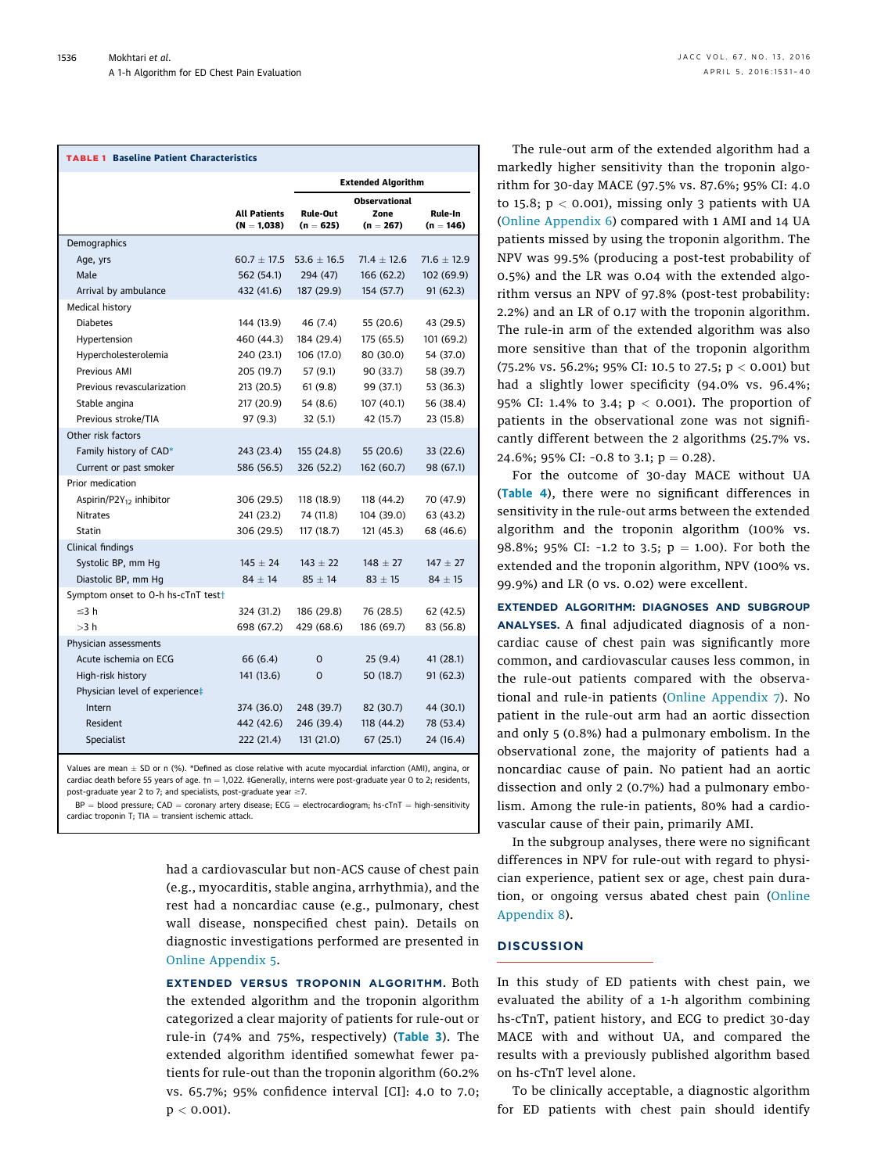# <span id="page-5-0"></span>TABLE 1 Baseline Patient Characteristics

|                                                |                                      | <b>Extended Algorithm</b>      |                                             |                        |  |
|------------------------------------------------|--------------------------------------|--------------------------------|---------------------------------------------|------------------------|--|
|                                                | <b>All Patients</b><br>$(N = 1,038)$ | <b>Rule-Out</b><br>$(n = 625)$ | <b>Observational</b><br>Zone<br>$(n = 267)$ | Rule-In<br>$(n = 146)$ |  |
| Demographics                                   |                                      |                                |                                             |                        |  |
| Age, yrs                                       | $60.7 \pm 17.5$                      | 53.6 $\pm$ 16.5                | $71.4 \pm 12.6$                             | $71.6 \pm 12.9$        |  |
| Male                                           | 562 (54.1)                           | 294 (47)                       | 166 (62.2)                                  | 102 (69.9)             |  |
| Arrival by ambulance                           | 432 (41.6)                           | 187 (29.9)                     | 154 (57.7)                                  | 91(62.3)               |  |
| Medical history                                |                                      |                                |                                             |                        |  |
| <b>Diabetes</b>                                | 144 (13.9)                           | 46 (7.4)                       | 55 (20.6)                                   | 43 (29.5)              |  |
| Hypertension                                   | 460 (44.3)                           | 184 (29.4)                     | 175 (65.5)                                  | 101 (69.2)             |  |
| Hypercholesterolemia                           | 240 (23.1)                           | 106 (17.0)                     | 80 (30.0)                                   | 54 (37.0)              |  |
| Previous AMI                                   | 205 (19.7)                           | 57 (9.1)                       | 90 (33.7)                                   | 58 (39.7)              |  |
| Previous revascularization                     | 213 (20.5)                           | 61(9.8)                        | 99 (37.1)                                   | 53 (36.3)              |  |
| Stable angina                                  | 217 (20.9)                           | 54 (8.6)                       | 107 (40.1)                                  | 56 (38.4)              |  |
| Previous stroke/TIA                            | 97 (9.3)                             | 32(5.1)                        | 42 (15.7)                                   | 23 (15.8)              |  |
| Other risk factors                             |                                      |                                |                                             |                        |  |
| Family history of CAD*                         | 243 (23.4)                           | 155 (24.8)                     | 55 (20.6)                                   | 33 (22.6)              |  |
| Current or past smoker                         | 586 (56.5)                           | 326 (52.2)                     | 162 (60.7)                                  | 98 (67.1)              |  |
| Prior medication                               |                                      |                                |                                             |                        |  |
| Aspirin/P2 $Y_{12}$ inhibitor                  | 306 (29.5)                           | 118 (18.9)                     | 118 (44.2)                                  | 70 (47.9)              |  |
| <b>Nitrates</b>                                | 241 (23.2)                           | 74 (11.8)                      | 104 (39.0)                                  | 63 (43.2)              |  |
| Statin                                         | 306 (29.5)                           | 117 (18.7)                     | 121 (45.3)                                  | 68 (46.6)              |  |
| Clinical findings                              |                                      |                                |                                             |                        |  |
| Systolic BP, mm Hg                             | $145 \pm 24$                         | $143 \pm 22$                   | $148 \pm 27$                                | $147 \pm 27$           |  |
| Diastolic BP, mm Hg                            | $84 \pm 14$                          | $85 \pm 14$                    | $83 \pm 15$                                 | $84 \pm 15$            |  |
| Symptom onset to 0-h hs-cTnT test <sup>+</sup> |                                      |                                |                                             |                        |  |
| $\leq$ 3 h                                     | 324 (31.2)                           | 186 (29.8)                     | 76 (28.5)                                   | 62 (42.5)              |  |
| >3 h                                           | 698 (67.2)                           | 429 (68.6)                     | 186 (69.7)                                  | 83 (56.8)              |  |
| Physician assessments                          |                                      |                                |                                             |                        |  |
| Acute ischemia on ECG                          | 66 (6.4)                             | O                              | 25(9.4)                                     | 41 (28.1)              |  |
| High-risk history                              | 141 (13.6)                           | $\Omega$                       | 50 (18.7)                                   | 91 (62.3)              |  |
| Physician level of experience‡                 |                                      |                                |                                             |                        |  |
| Intern                                         | 374 (36.0)                           | 248 (39.7)                     | 82 (30.7)                                   | 44 (30.1)              |  |
| Resident                                       | 442 (42.6)                           | 246 (39.4)                     | 118 (44.2)                                  | 78 (53.4)              |  |
| Specialist                                     | 222 (21.4)                           | 131 (21.0)                     | 67(25.1)                                    | 24 (16.4)              |  |

Values are mean  $\pm$  SD or n (%). \*Defined as close relative with acute myocardial infarction (AMI), angina, or cardiac death before 55 years of age.  ${\uparrow}n = 1,022$ . ‡Generally, interns were post-graduate year 0 to 2; residents, post-graduate year 2 to 7; and specialists, post-graduate year  $\geq$ 7.

 $BP = blood pressure$ ; CAD = coronary artery disease; ECG = electrocardiogram; hs-cTnT = high-sensitivity cardiac troponin T;  $T|A =$  transient ischemic attack.

> had a cardiovascular but non-ACS cause of chest pain (e.g., myocarditis, stable angina, arrhythmia), and the rest had a noncardiac cause (e.g., pulmonary, chest wall disease, nonspecified chest pain). Details on diagnostic investigations performed are presented in [Online Appendix 5](http://dx.doi.org/10.1016/j.jacc.2016.01.059).

> EXTENDED VERSUS TROPONIN ALGORITHM. Both the extended algorithm and the troponin algorithm categorized a clear majority of patients for rule-out or rule-in (74% and 75%, respectively) ([Table 3](#page-6-0)). The extended algorithm identified somewhat fewer patients for rule-out than the troponin algorithm (60.2% vs. 65.7%; 95% confidence interval [CI]: 4.0 to 7.0;  $p < 0.001$ ).

The rule-out arm of the extended algorithm had a markedly higher sensitivity than the troponin algorithm for 30-day MACE (97.5% vs. 87.6%; 95% CI: 4.0 to 15.8;  $p < 0.001$ ), missing only 3 patients with UA ([Online Appendix 6\)](http://dx.doi.org/10.1016/j.jacc.2016.01.059) compared with 1 AMI and 14 UA patients missed by using the troponin algorithm. The NPV was 99.5% (producing a post-test probability of 0.5%) and the LR was 0.04 with the extended algorithm versus an NPV of 97.8% (post-test probability: 2.2%) and an LR of 0.17 with the troponin algorithm. The rule-in arm of the extended algorithm was also more sensitive than that of the troponin algorithm (75.2% vs. 56.2%; 95% CI: 10.5 to 27.5;  $p < 0.001$ ) but had a slightly lower specificity (94.0% vs. 96.4%; 95% CI: 1.4% to 3.4;  $p < 0.001$ ). The proportion of patients in the observational zone was not significantly different between the 2 algorithms (25.7% vs. 24.6%; 95% CI:  $-0.8$  to 3.1; p = 0.28).

For the outcome of 30-day MACE without UA ([Table 4](#page-7-0)), there were no significant differences in sensitivity in the rule-out arms between the extended algorithm and the troponin algorithm (100% vs. 98.8%; 95% CI: -1.2 to 3.5;  $p = 1.00$ ). For both the extended and the troponin algorithm, NPV (100% vs. 99.9%) and LR (0 vs. 0.02) were excellent.

EXTENDED ALGORITHM: DIAGNOSES AND SUBGROUP ANALYSES. A final adjudicated diagnosis of a noncardiac cause of chest pain was significantly more common, and cardiovascular causes less common, in the rule-out patients compared with the observational and rule-in patients ([Online Appendix 7](http://dx.doi.org/10.1016/j.jacc.2016.01.059)). No patient in the rule-out arm had an aortic dissection and only 5 (0.8%) had a pulmonary embolism. In the observational zone, the majority of patients had a noncardiac cause of pain. No patient had an aortic dissection and only 2 (0.7%) had a pulmonary embolism. Among the rule-in patients, 80% had a cardiovascular cause of their pain, primarily AMI.

In the subgroup analyses, there were no significant differences in NPV for rule-out with regard to physician experience, patient sex or age, chest pain duration, or ongoing versus abated chest pain ([Online](http://dx.doi.org/10.1016/j.jacc.2016.01.059) [Appendix 8\)](http://dx.doi.org/10.1016/j.jacc.2016.01.059).

# **DISCUSSION**

In this study of ED patients with chest pain, we evaluated the ability of a 1-h algorithm combining hs-cTnT, patient history, and ECG to predict 30-day MACE with and without UA, and compared the results with a previously published algorithm based on hs-cTnT level alone.

To be clinically acceptable, a diagnostic algorithm for ED patients with chest pain should identify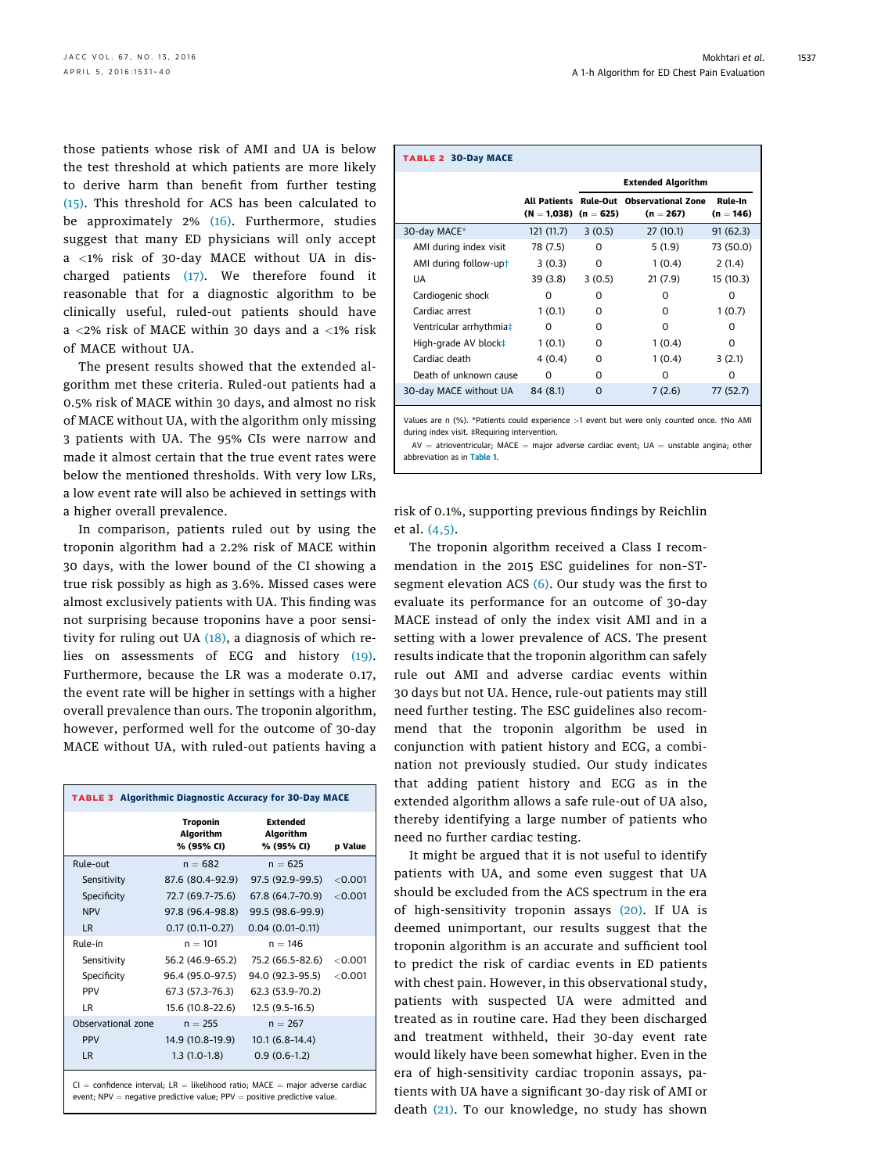<span id="page-6-0"></span>those patients whose risk of AMI and UA is below the test threshold at which patients are more likely to derive harm than benefit from further testing [\(15\)](#page-8-0). This threshold for ACS has been calculated to be approximately 2% [\(16\).](#page-9-0) Furthermore, studies suggest that many ED physicians will only accept a <1% risk of 30-day MACE without UA in discharged patients [\(17\).](#page-9-0) We therefore found it reasonable that for a diagnostic algorithm to be clinically useful, ruled-out patients should have  $a < 2\%$  risk of MACE within 30 days and a  $< 1\%$  risk of MACE without UA.

The present results showed that the extended algorithm met these criteria. Ruled-out patients had a 0.5% risk of MACE within 30 days, and almost no risk of MACE without UA, with the algorithm only missing 3 patients with UA. The 95% CIs were narrow and made it almost certain that the true event rates were below the mentioned thresholds. With very low LRs, a low event rate will also be achieved in settings with a higher overall prevalence.

In comparison, patients ruled out by using the troponin algorithm had a 2.2% risk of MACE within 30 days, with the lower bound of the CI showing a true risk possibly as high as 3.6%. Missed cases were almost exclusively patients with UA. This finding was not surprising because troponins have a poor sensitivity for ruling out UA [\(18\)](#page-9-0), a diagnosis of which relies on assessments of ECG and history [\(19\).](#page-9-0) Furthermore, because the LR was a moderate 0.17, the event rate will be higher in settings with a higher overall prevalence than ours. The troponin algorithm, however, performed well for the outcome of 30-day MACE without UA, with ruled-out patients having a

| <b>TABLE 3 Algorithmic Diagnostic Accuracy for 30-Day MACE</b>                      |                                            |                                            |         |  |  |
|-------------------------------------------------------------------------------------|--------------------------------------------|--------------------------------------------|---------|--|--|
|                                                                                     | <b>Troponin</b><br>Algorithm<br>% (95% CI) | <b>Extended</b><br>Algorithm<br>% (95% CI) | p Value |  |  |
| Rule-out                                                                            | $n = 682$                                  | $n = 625$                                  |         |  |  |
| Sensitivity                                                                         | 87.6 (80.4-92.9)                           | 97.5 (92.9-99.5)                           | < 0.001 |  |  |
| Specificity                                                                         | 72.7 (69.7–75.6)                           | 67.8 (64.7-70.9)                           | < 0.001 |  |  |
| <b>NPV</b>                                                                          | 97.8 (96.4-98.8)                           | 99.5 (98.6-99.9)                           |         |  |  |
| LR.                                                                                 | $0.17(0.11-0.27)$                          | $0.04(0.01-0.11)$                          |         |  |  |
| Rule-in                                                                             | $n = 101$                                  | $n = 146$                                  |         |  |  |
| Sensitivity                                                                         | 56.2 (46.9-65.2)                           | 75.2 (66.5-82.6)                           | < 0.001 |  |  |
| Specificity                                                                         | 96.4 (95.0-97.5)                           | 94.0 (92.3-95.5)                           | < 0.001 |  |  |
| <b>PPV</b>                                                                          | 67.3 (57.3-76.3)                           | 62.3 (53.9-70.2)                           |         |  |  |
| LR                                                                                  | 15.6 (10.8-22.6)                           | 12.5 (9.5-16.5)                            |         |  |  |
| Observational zone                                                                  | $n = 255$                                  | $n = 267$                                  |         |  |  |
| <b>PPV</b>                                                                          | 14.9 (10.8-19.9)                           | $10.1(6.8-14.4)$                           |         |  |  |
| LR.                                                                                 | $1.3(1.0-1.8)$                             | $0.9(0.6-1.2)$                             |         |  |  |
| $CI = confidence$ interval; $LR = likelihood$ ratio; $MACE = major$ adverse cardiac |                                            |                                            |         |  |  |

 $event; NPV = negative\ predicate$  value;  $PPV = positive\ predicate$  value  $input$ 

| <b>TABLE 2 30-Day MACE</b> |                           |                           |                                                         |                        |
|----------------------------|---------------------------|---------------------------|---------------------------------------------------------|------------------------|
|                            |                           | <b>Extended Algorithm</b> |                                                         |                        |
|                            | $(N = 1,038)$ $(n = 625)$ |                           | All Patients Rule-Out Observational Zone<br>$(n = 267)$ | Rule-In<br>$(n = 146)$ |
| 30-day MACE*               | 121 (11.7)                | 3(0.5)                    | 27 (10.1)                                               | 91(62.3)               |
| AMI during index visit     | 78 (7.5)                  | O                         | 5(1.9)                                                  | 73 (50.0)              |
| AMI during follow-upt      | 3(0.3)                    | 0                         | 1(0.4)                                                  | 2(1.4)                 |
| UA                         | 39 (3.8)                  | 3(0.5)                    | 21(7.9)                                                 | 15 (10.3)              |
| Cardiogenic shock          | n                         | O                         | O                                                       | Ω                      |
| Cardiac arrest             | 1(0.1)                    | O                         | O                                                       | 1(0.7)                 |
| Ventricular arrhythmia‡    | U                         | O                         | O                                                       | O                      |
| High-grade AV block‡       | 1(0.1)                    | O                         | 1(0.4)                                                  | Ω                      |
| Cardiac death              | 4 (0.4)                   | O                         | 1(0.4)                                                  | 3(2.1)                 |
| Death of unknown cause     | U                         | O                         | O                                                       | O                      |
| 30-day MACE without UA     | 84 (8.1)                  | $\Omega$                  | 7(2.6)                                                  | 77 (52.7)              |

Values are n (%). \*Patients could experience >1 event but were only counted once. †No AMI during index visit. ‡Requiring intervention.

 $AV =$  atrioventricular; MACE = major adverse cardiac event;  $UA =$  unstable angina; other abbreviation as in [Table 1](#page-5-0).

risk of 0.1%, supporting previous findings by Reichlin et al. [\(4,5\).](#page-8-0)

The troponin algorithm received a Class I recommendation in the 2015 ESC guidelines for non–STsegment elevation ACS [\(6\)](#page-8-0). Our study was the first to evaluate its performance for an outcome of 30-day MACE instead of only the index visit AMI and in a setting with a lower prevalence of ACS. The present results indicate that the troponin algorithm can safely rule out AMI and adverse cardiac events within 30 days but not UA. Hence, rule-out patients may still need further testing. The ESC guidelines also recommend that the troponin algorithm be used in conjunction with patient history and ECG, a combination not previously studied. Our study indicates that adding patient history and ECG as in the extended algorithm allows a safe rule-out of UA also, thereby identifying a large number of patients who need no further cardiac testing.

It might be argued that it is not useful to identify patients with UA, and some even suggest that UA should be excluded from the ACS spectrum in the era of high-sensitivity troponin assays [\(20\).](#page-9-0) If UA is deemed unimportant, our results suggest that the troponin algorithm is an accurate and sufficient tool to predict the risk of cardiac events in ED patients with chest pain. However, in this observational study, patients with suspected UA were admitted and treated as in routine care. Had they been discharged and treatment withheld, their 30-day event rate would likely have been somewhat higher. Even in the era of high-sensitivity cardiac troponin assays, patients with UA have a significant 30-day risk of AMI or death [\(21\)](#page-9-0). To our knowledge, no study has shown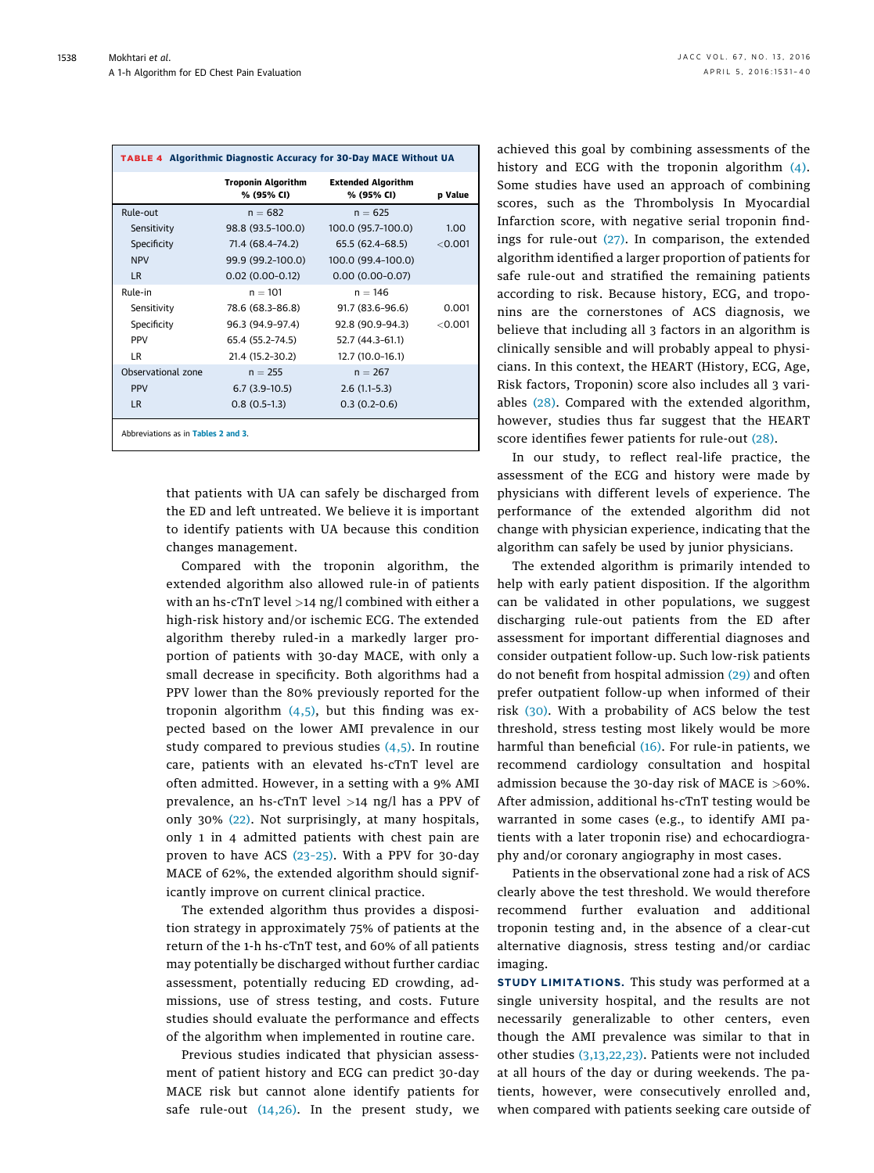<span id="page-7-0"></span>

| TABLE 4 Algorithmic Diagnostic Accuracy for 30-Day MACE Without UA |                                         |                                         |           |  |
|--------------------------------------------------------------------|-----------------------------------------|-----------------------------------------|-----------|--|
|                                                                    | <b>Troponin Algorithm</b><br>% (95% CI) | <b>Extended Algorithm</b><br>% (95% CI) | p Value   |  |
| Rule-out                                                           | $n = 682$                               | $n = 625$                               |           |  |
| Sensitivity                                                        | 98.8 (93.5–100.0)                       | 100.0 (95.7-100.0)                      | 1.00      |  |
| Specificity                                                        | 71.4 (68.4–74.2)                        | 65.5 (62.4–68.5)                        | $<$ 0.001 |  |
| <b>NPV</b>                                                         | 99.9 (99.2-100.0)                       | 100.0 (99.4-100.0)                      |           |  |
| <b>LR</b>                                                          | $0.02(0.00-0.12)$                       | $0.00(0.00-0.07)$                       |           |  |
| Rule-in                                                            | $n = 101$                               | $n = 146$                               |           |  |
| Sensitivity                                                        | 78.6 (68.3-86.8)                        | 91.7 (83.6–96.6)                        | 0.001     |  |
| Specificity                                                        | 96.3 (94.9-97.4)                        | 92.8 (90.9-94.3)                        | < 0.001   |  |
| <b>PPV</b>                                                         | 65.4 (55.2-74.5)                        | 52.7 (44.3-61.1)                        |           |  |
| IR.                                                                | 21.4 (15.2-30.2)                        | 12.7 (10.0-16.1)                        |           |  |
| Observational zone                                                 | $n = 255$                               | $n = 267$                               |           |  |
| <b>PPV</b>                                                         | $6.7(3.9-10.5)$                         | $2.6(1.1-5.3)$                          |           |  |
| <b>LR</b>                                                          | $0.8(0.5-1.3)$                          | $0.3(0.2-0.6)$                          |           |  |
| Abbreviations as in Tables 2 and 3.                                |                                         |                                         |           |  |

that patients with UA can safely be discharged from the ED and left untreated. We believe it is important to identify patients with UA because this condition changes management.

Compared with the troponin algorithm, the extended algorithm also allowed rule-in of patients with an hs-cTnT level  $>14$  ng/l combined with either a high-risk history and/or ischemic ECG. The extended algorithm thereby ruled-in a markedly larger proportion of patients with 30-day MACE, with only a small decrease in specificity. Both algorithms had a PPV lower than the 80% previously reported for the troponin algorithm  $(4,5)$ , but this finding was expected based on the lower AMI prevalence in our study compared to previous studies  $(4,5)$ . In routine care, patients with an elevated hs-cTnT level are often admitted. However, in a setting with a 9% AMI prevalence, an hs-cTnT level >14 ng/l has a PPV of only 30% [\(22\)](#page-9-0). Not surprisingly, at many hospitals, only 1 in 4 admitted patients with chest pain are proven to have ACS (23–[25\).](#page-9-0) With a PPV for 30-day MACE of 62%, the extended algorithm should significantly improve on current clinical practice.

The extended algorithm thus provides a disposition strategy in approximately 75% of patients at the return of the 1-h hs-cTnT test, and 60% of all patients may potentially be discharged without further cardiac assessment, potentially reducing ED crowding, admissions, use of stress testing, and costs. Future studies should evaluate the performance and effects of the algorithm when implemented in routine care.

Previous studies indicated that physician assessment of patient history and ECG can predict 30-day MACE risk but cannot alone identify patients for safe rule-out [\(14,26\).](#page-8-0) In the present study, we achieved this goal by combining assessments of the history and ECG with the troponin algorithm [\(4\).](#page-8-0) Some studies have used an approach of combining scores, such as the Thrombolysis In Myocardial Infarction score, with negative serial troponin findings for rule-out [\(27\)](#page-9-0). In comparison, the extended algorithm identified a larger proportion of patients for safe rule-out and stratified the remaining patients according to risk. Because history, ECG, and troponins are the cornerstones of ACS diagnosis, we believe that including all 3 factors in an algorithm is clinically sensible and will probably appeal to physicians. In this context, the HEART (History, ECG, Age, Risk factors, Troponin) score also includes all 3 variables [\(28\).](#page-9-0) Compared with the extended algorithm, however, studies thus far suggest that the HEART score identifies fewer patients for rule-out [\(28\).](#page-9-0)

In our study, to reflect real-life practice, the assessment of the ECG and history were made by physicians with different levels of experience. The performance of the extended algorithm did not change with physician experience, indicating that the algorithm can safely be used by junior physicians.

The extended algorithm is primarily intended to help with early patient disposition. If the algorithm can be validated in other populations, we suggest discharging rule-out patients from the ED after assessment for important differential diagnoses and consider outpatient follow-up. Such low-risk patients do not benefit from hospital admission [\(29\)](#page-9-0) and often prefer outpatient follow-up when informed of their risk [\(30\)](#page-9-0). With a probability of ACS below the test threshold, stress testing most likely would be more harmful than beneficial [\(16\)](#page-9-0). For rule-in patients, we recommend cardiology consultation and hospital admission because the 30-day risk of MACE is >60%. After admission, additional hs-cTnT testing would be warranted in some cases (e.g., to identify AMI patients with a later troponin rise) and echocardiography and/or coronary angiography in most cases.

Patients in the observational zone had a risk of ACS clearly above the test threshold. We would therefore recommend further evaluation and additional troponin testing and, in the absence of a clear-cut alternative diagnosis, stress testing and/or cardiac imaging.

STUDY LIMITATIONS. This study was performed at a single university hospital, and the results are not necessarily generalizable to other centers, even though the AMI prevalence was similar to that in other studies [\(3,13,22,23\)](#page-8-0). Patients were not included at all hours of the day or during weekends. The patients, however, were consecutively enrolled and, when compared with patients seeking care outside of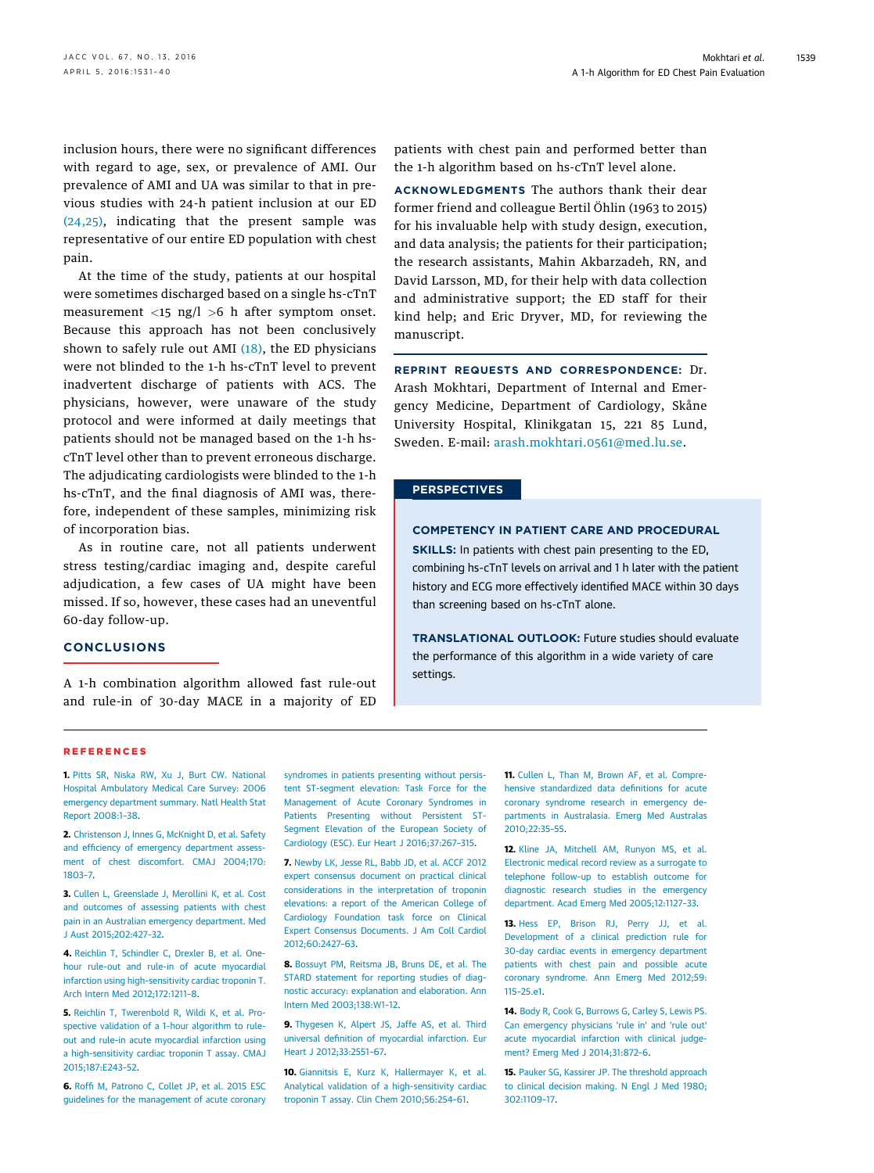<span id="page-8-0"></span>inclusion hours, there were no significant differences with regard to age, sex, or prevalence of AMI. Our prevalence of AMI and UA was similar to that in previous studies with 24-h patient inclusion at our ED [\(24,25\),](#page-9-0) indicating that the present sample was representative of our entire ED population with chest pain.

At the time of the study, patients at our hospital were sometimes discharged based on a single hs-cTnT measurement  $\langle 15 \rangle$  ng/l  $>6$  h after symptom onset. Because this approach has not been conclusively shown to safely rule out AMI  $(18)$ , the ED physicians were not blinded to the 1-h hs-cTnT level to prevent inadvertent discharge of patients with ACS. The physicians, however, were unaware of the study protocol and were informed at daily meetings that patients should not be managed based on the 1-h hscTnT level other than to prevent erroneous discharge. The adjudicating cardiologists were blinded to the 1-h hs-cTnT, and the final diagnosis of AMI was, therefore, independent of these samples, minimizing risk of incorporation bias.

As in routine care, not all patients underwent stress testing/cardiac imaging and, despite careful adjudication, a few cases of UA might have been missed. If so, however, these cases had an uneventful 60-day follow-up.

# CONCLUSIONS

A 1-h combination algorithm allowed fast rule-out and rule-in of 30-day MACE in a majority of ED patients with chest pain and performed better than the 1-h algorithm based on hs-cTnT level alone.

ACKNOWLEDGMENTS The authors thank their dear former friend and colleague Bertil Öhlin (1963 to 2015) for his invaluable help with study design, execution, and data analysis; the patients for their participation; the research assistants, Mahin Akbarzadeh, RN, and David Larsson, MD, for their help with data collection and administrative support; the ED staff for their kind help; and Eric Dryver, MD, for reviewing the manuscript.

REPRINT REQUESTS AND CORRESPONDENCE: Dr. Arash Mokhtari, Department of Internal and Emergency Medicine, Department of Cardiology, Skåne University Hospital, Klinikgatan 15, 221 85 Lund, Sweden. E-mail: [arash.mokhtari.0561@med.lu.se](mailto:arash.mokhtari.0561@med.lu.se).

## PERSPECTIVES

## COMPETENCY IN PATIENT CARE AND PROCEDURAL

SKILLS: In patients with chest pain presenting to the ED, combining hs-cTnT levels on arrival and 1 h later with the patient history and ECG more effectively identified MACE within 30 days than screening based on hs-cTnT alone.

TRANSLATIONAL OUTLOOK: Future studies should evaluate the performance of this algorithm in a wide variety of care settings.

#### REFERENCES

1. [Pitts SR, Niska RW, Xu J, Burt CW. National](http://refhub.elsevier.com/S0735-1097(16)00611-2/sref1) [Hospital Ambulatory Medical Care Survey: 2006](http://refhub.elsevier.com/S0735-1097(16)00611-2/sref1) [emergency department summary. Natl Health Stat](http://refhub.elsevier.com/S0735-1097(16)00611-2/sref1) [Report 2008:1](http://refhub.elsevier.com/S0735-1097(16)00611-2/sref1)–38.

2. [Christenson J, Innes G, McKnight D, et al. Safety](http://refhub.elsevier.com/S0735-1097(16)00611-2/sref2) and effi[ciency of emergency department assess](http://refhub.elsevier.com/S0735-1097(16)00611-2/sref2)[ment of chest discomfort. CMAJ 2004;170:](http://refhub.elsevier.com/S0735-1097(16)00611-2/sref2) [1803](http://refhub.elsevier.com/S0735-1097(16)00611-2/sref2)–7.

3. [Cullen L, Greenslade J, Merollini K, et al. Cost](http://refhub.elsevier.com/S0735-1097(16)00611-2/sref3) [and outcomes of assessing patients with chest](http://refhub.elsevier.com/S0735-1097(16)00611-2/sref3) [pain in an Australian emergency department. Med](http://refhub.elsevier.com/S0735-1097(16)00611-2/sref3) [J Aust 2015;202:427](http://refhub.elsevier.com/S0735-1097(16)00611-2/sref3)–32.

4. Reichlin T. Schindler C. Drexler B. et al. One[hour rule-out and rule-in of acute myocardial](http://refhub.elsevier.com/S0735-1097(16)00611-2/sref4) [infarction using high-sensitivity cardiac troponin T.](http://refhub.elsevier.com/S0735-1097(16)00611-2/sref4) [Arch Intern Med 2012;172:1211](http://refhub.elsevier.com/S0735-1097(16)00611-2/sref4)–8.

5. [Reichlin T, Twerenbold R, Wildi K, et al. Pro](http://refhub.elsevier.com/S0735-1097(16)00611-2/sref5)[spective validation of a 1-hour algorithm to rule](http://refhub.elsevier.com/S0735-1097(16)00611-2/sref5)[out and rule-in acute myocardial infarction using](http://refhub.elsevier.com/S0735-1097(16)00611-2/sref5) [a high-sensitivity cardiac troponin T assay. CMAJ](http://refhub.elsevier.com/S0735-1097(16)00611-2/sref5) [2015;187:E243](http://refhub.elsevier.com/S0735-1097(16)00611-2/sref5)–52.

6. Roffi [M, Patrono C, Collet JP, et al. 2015 ESC](http://refhub.elsevier.com/S0735-1097(16)00611-2/sref6) [guidelines for the management of acute coronary](http://refhub.elsevier.com/S0735-1097(16)00611-2/sref6) [syndromes in patients presenting without persis](http://refhub.elsevier.com/S0735-1097(16)00611-2/sref6)[tent ST-segment elevation: Task Force for the](http://refhub.elsevier.com/S0735-1097(16)00611-2/sref6) [Management of Acute Coronary Syndromes in](http://refhub.elsevier.com/S0735-1097(16)00611-2/sref6) [Patients Presenting without Persistent ST-](http://refhub.elsevier.com/S0735-1097(16)00611-2/sref6)[Segment Elevation of the European Society of](http://refhub.elsevier.com/S0735-1097(16)00611-2/sref6) [Cardiology \(ESC\). Eur Heart J 2016;37:267](http://refhub.elsevier.com/S0735-1097(16)00611-2/sref6)–315.

7. [Newby LK, Jesse RL, Babb JD, et al. ACCF 2012](http://refhub.elsevier.com/S0735-1097(16)00611-2/sref7) [expert consensus document on practical clinical](http://refhub.elsevier.com/S0735-1097(16)00611-2/sref7) [considerations in the interpretation of troponin](http://refhub.elsevier.com/S0735-1097(16)00611-2/sref7) [elevations: a report of the American College of](http://refhub.elsevier.com/S0735-1097(16)00611-2/sref7) [Cardiology Foundation task force on Clinical](http://refhub.elsevier.com/S0735-1097(16)00611-2/sref7) [Expert Consensus Documents. J Am Coll Cardiol](http://refhub.elsevier.com/S0735-1097(16)00611-2/sref7) [2012;60:2427](http://refhub.elsevier.com/S0735-1097(16)00611-2/sref7)–63.

8. [Bossuyt PM, Reitsma JB, Bruns DE, et al. The](http://refhub.elsevier.com/S0735-1097(16)00611-2/sref8) [STARD statement for reporting studies of diag](http://refhub.elsevier.com/S0735-1097(16)00611-2/sref8)[nostic accuracy: explanation and elaboration. Ann](http://refhub.elsevier.com/S0735-1097(16)00611-2/sref8) [Intern Med 2003;138:W1](http://refhub.elsevier.com/S0735-1097(16)00611-2/sref8)–12.

9. [Thygesen K, Alpert JS, Jaffe AS, et al. Third](http://refhub.elsevier.com/S0735-1097(16)00611-2/sref9) universal defi[nition of myocardial infarction. Eur](http://refhub.elsevier.com/S0735-1097(16)00611-2/sref9) [Heart J 2012;33:2551](http://refhub.elsevier.com/S0735-1097(16)00611-2/sref9)–67.

10. [Giannitsis E, Kurz K, Hallermayer K, et al.](http://refhub.elsevier.com/S0735-1097(16)00611-2/sref10) [Analytical validation of a high-sensitivity cardiac](http://refhub.elsevier.com/S0735-1097(16)00611-2/sref10) [troponin T assay. Clin Chem 2010;56:254](http://refhub.elsevier.com/S0735-1097(16)00611-2/sref10)–61.

11. [Cullen L, Than M, Brown AF, et al. Compre](http://refhub.elsevier.com/S0735-1097(16)00611-2/sref11)[hensive standardized data de](http://refhub.elsevier.com/S0735-1097(16)00611-2/sref11)finitions for acute [coronary syndrome research in emergency de](http://refhub.elsevier.com/S0735-1097(16)00611-2/sref11)[partments in Australasia. Emerg Med Australas](http://refhub.elsevier.com/S0735-1097(16)00611-2/sref11) [2010;22:35](http://refhub.elsevier.com/S0735-1097(16)00611-2/sref11)–55.

12. [Kline JA, Mitchell AM, Runyon MS, et al.](http://refhub.elsevier.com/S0735-1097(16)00611-2/sref12) [Electronic medical record review as a surrogate to](http://refhub.elsevier.com/S0735-1097(16)00611-2/sref12) [telephone follow-up to establish outcome for](http://refhub.elsevier.com/S0735-1097(16)00611-2/sref12) [diagnostic research studies in the emergency](http://refhub.elsevier.com/S0735-1097(16)00611-2/sref12) [department. Acad Emerg Med 2005;12:1127](http://refhub.elsevier.com/S0735-1097(16)00611-2/sref12)–33.

13. [Hess EP, Brison RJ, Perry JJ, et al.](http://refhub.elsevier.com/S0735-1097(16)00611-2/sref13) [Development of a clinical prediction rule for](http://refhub.elsevier.com/S0735-1097(16)00611-2/sref13) [30-day cardiac events in emergency department](http://refhub.elsevier.com/S0735-1097(16)00611-2/sref13) [patients with chest pain and possible acute](http://refhub.elsevier.com/S0735-1097(16)00611-2/sref13) [coronary syndrome. Ann Emerg Med 2012;59:](http://refhub.elsevier.com/S0735-1097(16)00611-2/sref13) 115–[25.e1](http://refhub.elsevier.com/S0735-1097(16)00611-2/sref13).

14. [Body R, Cook G, Burrows G, Carley S, Lewis PS.](http://refhub.elsevier.com/S0735-1097(16)00611-2/sref14) [Can emergency physicians](http://refhub.elsevier.com/S0735-1097(16)00611-2/sref14) 'rule in' and 'rule out' [acute myocardial infarction with clinical judge](http://refhub.elsevier.com/S0735-1097(16)00611-2/sref14)[ment? Emerg Med J 2014;31:872](http://refhub.elsevier.com/S0735-1097(16)00611-2/sref14)–6.

15. [Pauker SG, Kassirer JP. The threshold approach](http://refhub.elsevier.com/S0735-1097(16)00611-2/sref15) [to clinical decision making. N Engl J Med 1980;](http://refhub.elsevier.com/S0735-1097(16)00611-2/sref15) [302:1109](http://refhub.elsevier.com/S0735-1097(16)00611-2/sref15)–17.